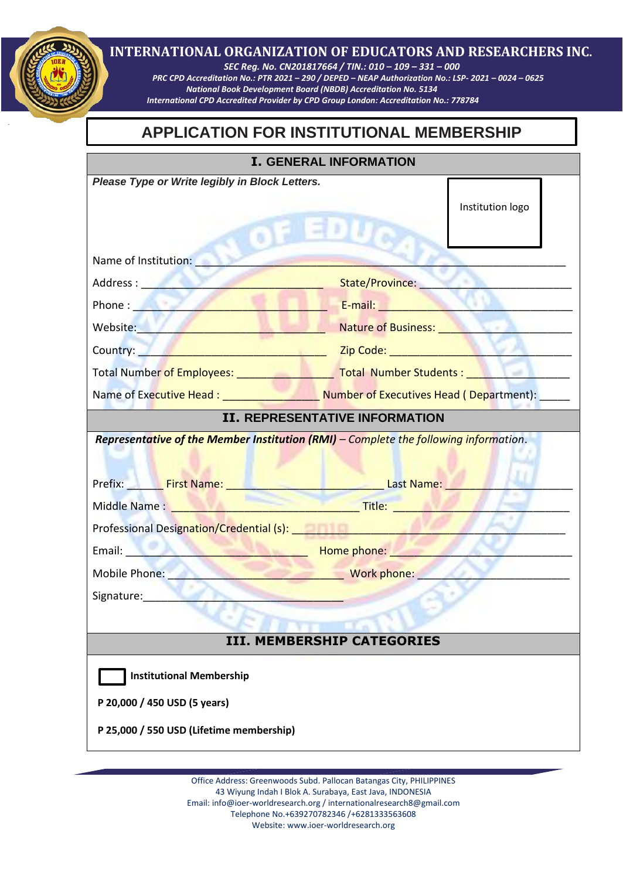## **INTERNATIONAL ORGANIZATION OF EDUCATORS AND RESEARCHERS INC**.

 *SEC Reg. No. CN201817664 / TIN.: 010 – 109 – 331 – 000 PRC CPD Accreditation No.: PTR 2021 – 290 / DEPED – NEAP Authorization No.: LSP- 2021 – 0024 – 0625 National Book Development Board (NBDB) Accreditation No. 5134 International CPD Accredited Provider by CPD Group London: Accreditation No.: 778784*

# **APPLICATION FOR INSTITUTIONAL MEMBERSHIP**

| <b>I. GENERAL INFORMATION</b>                                                                                                                                                                                                  |                                                                                                                                                                                                                                |
|--------------------------------------------------------------------------------------------------------------------------------------------------------------------------------------------------------------------------------|--------------------------------------------------------------------------------------------------------------------------------------------------------------------------------------------------------------------------------|
| Please Type or Write legibly in Block Letters.                                                                                                                                                                                 |                                                                                                                                                                                                                                |
|                                                                                                                                                                                                                                | Institution logo                                                                                                                                                                                                               |
|                                                                                                                                                                                                                                |                                                                                                                                                                                                                                |
|                                                                                                                                                                                                                                |                                                                                                                                                                                                                                |
| Name of Institution: Name of Institution:                                                                                                                                                                                      |                                                                                                                                                                                                                                |
| Address : New York State Street, New York Street, New York Street, New York Street, New York Street, New York                                                                                                                  | State/Province: Management Contractor                                                                                                                                                                                          |
|                                                                                                                                                                                                                                | Phone: E-mail: E-mail: E-mail: E-mail: E-mail: E-mail: E-mail: E-mail: E-mail: E-mail: E-mail: E-mail: E-mail: E-mail: E-mail: E-mail: E-mail: E-mail: E-mail: E-mail: E-mail: E-mail: E-mail: E-mail: E-mail: E-mail: E-mail: |
| Website: New York Products and Contract of the Contract of the Contract of the Contract of the Contract of the                                                                                                                 | Nature of Business: Nature of Business:                                                                                                                                                                                        |
| Country: <u>Alexander Country: Alexander Country: Alexander Country: Alexander Country: Alexander Country: Alexander Countries</u>                                                                                             |                                                                                                                                                                                                                                |
|                                                                                                                                                                                                                                |                                                                                                                                                                                                                                |
|                                                                                                                                                                                                                                | Name of Executive Head: ________________________Number of Executives Head (Department): _____                                                                                                                                  |
| <b>II. REPRESENTATIVE INFORMATION</b>                                                                                                                                                                                          |                                                                                                                                                                                                                                |
| Representative of the Member Institution (RMI) - Complete the following information.<br>Prefix: First Name: The Contract Last Name: The Contract Office Area and Archives Area and Archives Archives A                         |                                                                                                                                                                                                                                |
| Middle Name: Name and South Article 2014 and Title: Name and Title: Name and Title: Name and Title: Name and Title: Name and Title: Name and Title: Name and Title: Name and Title: Name and Title: Name and Title: Name and T |                                                                                                                                                                                                                                |
| Professional Designation/Credential (s):                                                                                                                                                                                       |                                                                                                                                                                                                                                |
| Email: None phone: None phone: None phone: None phone: None phone: None phone phone: None phone phone phone phone phone phone phone phone phone phone phone phone phone phone phone phone phone phone phone phone phone phone  |                                                                                                                                                                                                                                |
| Mobile Phone: North Mork phone: North More Phone: North More Phone: North More Phone: North More Phone: North More Phone: North More Phone: North More Phone: North More Phone: North More Phone: North More Phone: North More |                                                                                                                                                                                                                                |
| Signature:                                                                                                                                                                                                                     |                                                                                                                                                                                                                                |
|                                                                                                                                                                                                                                |                                                                                                                                                                                                                                |
| <b>III. MEMBERSHIP CATEGORIES</b>                                                                                                                                                                                              |                                                                                                                                                                                                                                |
| <b>Institutional Membership</b>                                                                                                                                                                                                |                                                                                                                                                                                                                                |
| P 20,000 / 450 USD (5 years)                                                                                                                                                                                                   |                                                                                                                                                                                                                                |
| P 25,000 / 550 USD (Lifetime membership)                                                                                                                                                                                       |                                                                                                                                                                                                                                |
|                                                                                                                                                                                                                                |                                                                                                                                                                                                                                |

Office Address: Greenwoods Subd. Pallocan Batangas City, PHILIPPINES 43 Wiyung Indah I Blok A. Surabaya, East Java, INDONESIA Email[: info@ioer-worldresearch.org /](mailto:info@ioer-worldresearch.org%20/) [internationalresearch8@gmail.com](mailto:internationalresearch8@gmail.com/) Telephone No.+639270782346 /+6281333563608 Website: www.ioer-worldresearch.org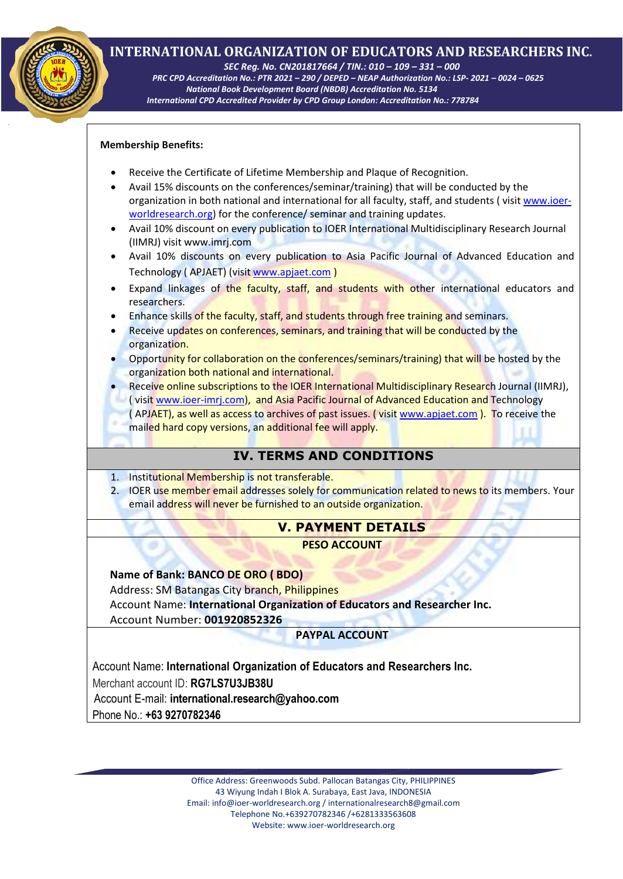## **INTERNATIONAL ORGANIZATION OF EDUCATORS AND RESEARCHERS INC**.

 *SEC Reg. No. CN201817664 / TIN.: 010 – 109 – 331 – 000* 

 *PRC CPD Accreditation No.: PTR 2021 – 290 / DEPED – NEAP Authorization No.: LSP- 2021 – 0024 – 0625 National Book Development Board (NBDB) Accreditation No. 5134 International CPD Accredited Provider by CPD Group London: Accreditation No.: 778784*

#### **Membership Benefits:**

- Receive the Certificate of Lifetime Membership and Plaque of Recognition.
- Avail 15% discounts on the conferences/seminar/training) that will be conducted by the<br>expression in both notional and international faculty at foculty staff and students (visit w organization in both national and international for all faculty, staff, and students ( visit [www.ioer](http://www.ioer-worldresearch.org/)[worldresearch.org\)](http://www.ioer-worldresearch.org/) for the conference/ seminar and training updates.
- Avail 10% discount on every publication to IOER International Multidisciplinary Research Journal (IIMRJ) visit [www.imrj.com](http://www.imrj.com/)
- Avail 10% discounts on every publication to Asia Pacific Journal of Advanced Education and Technology ( APJAET) (visit [www.apjaet.com](http://www.apjaet.com/) )
- Expand linkages of the faculty, staff, and students with other international educators and researchers.
- Enhance skills of the faculty, staff, and students through free training and seminars.
- Receive updates on conferences, seminars, and training that will be conducted by the organization.
- Opportunity for collaboration on the conferences/seminars/training) that will be hosted by the organization both national and international.
- Receive online subscriptions to the IOER International Multidisciplinary Research Journal (IIMRJ), ( visit [www.ioer-imrj.com\)](http://www.ioer-imrj.com/), and Asia Pacific Journal of Advanced Education and Technology ( APJAET), as well as access to archives of past issues. (visi[t www.apjaet.com](http://www.apjaet.com/)). To receive the mailed hard copy versions, an additional fee will apply.

## **IV. TERMS AND CONDITIONS**

- 1. Institutional Membership is not transferable.
- 2. IOER use member email addresses solely for communication related to news to its members. Your email address will never be furnished to an outside organization.

#### **V. PAYMENT DETAILS**

**PESO ACCOUNT**

#### **Name of Bank: BANCO DE ORO ( BDO)**

Address: SM Batangas City branch, Philippines

Account Name: **International Organization of Educators and Researcher Inc.** Account Number: **001920852326**

#### **PAYPAL ACCOUNT**

Account Name: **International Organization of Educators and Researchers Inc.**

Merchant account ID: **RG7LS7U3JB38U**

Account E-mail: **international.research@yahoo.com**

Phone No.: **+63 9270782346**